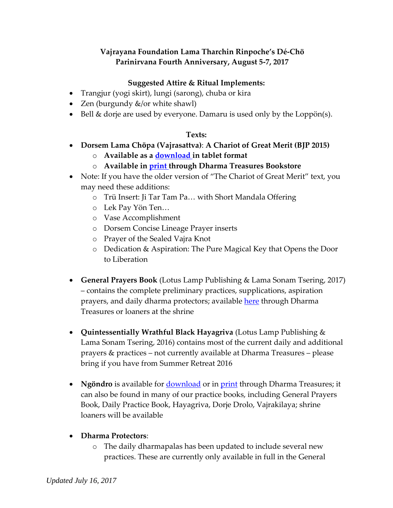## **Vajrayana Foundation Lama Tharchin Rinpoche's Dé-Chö Parinirvana Fourth Anniversary, August 5-7, 2017**

## **Suggested Attire & Ritual Implements:**

- Trangjur (yogi skirt), lungi (sarong), chuba or kira
- Zen (burgundy  $\&$ /or white shawl)
- $\bullet$  Bell & dorje are used by everyone. Damaru is used only by the Loppön(s).

## **Texts:**

- **Dorsem Lama Chӧpa (Vajrasattva)**: **A Chariot of Great Merit (BJP 2015)**
	- o **Available as a [download i](https://sellfy.com/p/jxHD)n tablet format**
	- o **Available in [print t](http://www.dharmatreasures.com/dorsem-lama-chopa-a-chariot-of-great-merit/)hrough Dharma Treasures Bookstore**
- Note: If you have the older version of "The Chariot of Great Merit" text, you may need these additions:
	- o Trü Insert: Ji Tar Tam Pa… with Short Mandala Offering
	- o Lek Pay Yön Ten…
	- o Vase Accomplishment
	- o Dorsem Concise Lineage Prayer inserts
	- o Prayer of the Sealed Vajra Knot
	- o Dedication & Aspiration: The Pure Magical Key that Opens the Door to Liberation
- **General Prayers Book** (Lotus Lamp Publishing & Lama Sonam Tsering, 2017) – contains the complete preliminary practices, supplications, aspiration prayers, and daily dharma protectors; available [here](http://www.dharmatreasures.com/preliminary-practices-supplications-aspiration-prayers-and-dharma-protectors/) through Dharma Treasures or loaners at the shrine
- **Quintessentially Wrathful Black Hayagriva** (Lotus Lamp Publishing & Lama Sonam Tsering, 2016) contains most of the current daily and additional prayers & practices – not currently available at Dharma Treasures – please bring if you have from Summer Retreat 2016
- Ngöndro is available for **download** or in **print** through Dharma Treasures; it can also be found in many of our practice books, including General Prayers Book, Daily Practice Book, Hayagriva, Dorje Drolo, Vajrakilaya; shrine loaners will be available
- **Dharma Protectors**:
	- o The daily dharmapalas has been updated to include several new practices. These are currently only available in full in the General